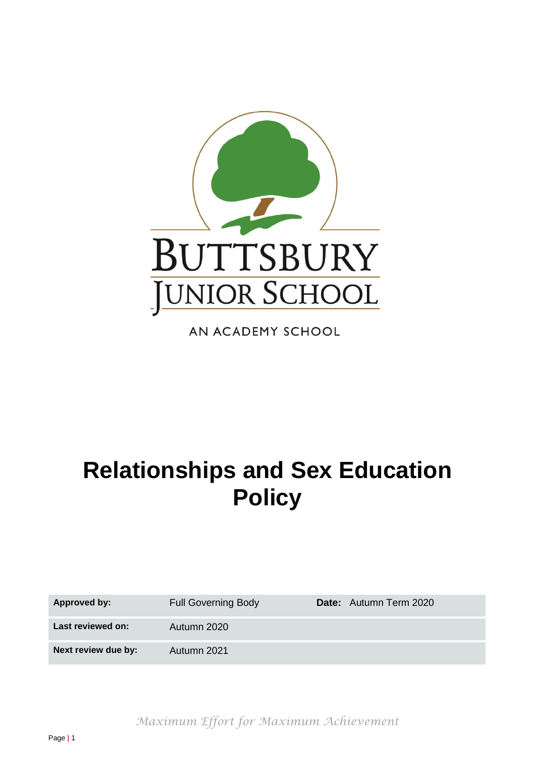

AN ACADEMY SCHOOL

# **Relationships and Sex Education Policy**

| Approved by:        | <b>Full Governing Body</b> | Date: Autumn Term 2020 |
|---------------------|----------------------------|------------------------|
| Last reviewed on:   | Autumn 2020                |                        |
| Next review due by: | Autumn 2021                |                        |

*Maximum Effort for Maximum Achievement*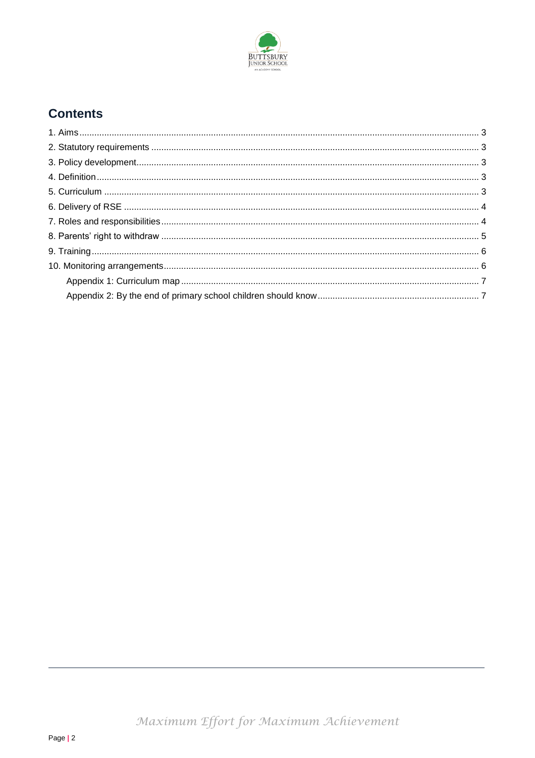

## **Contents**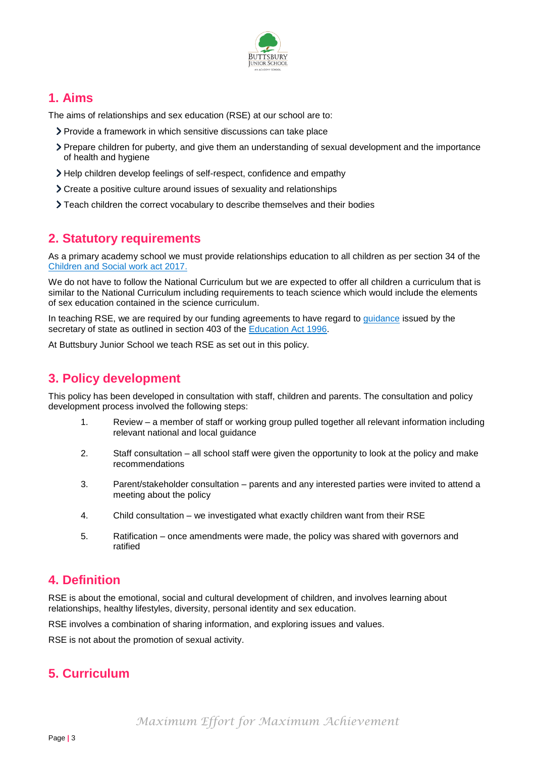

#### <span id="page-2-0"></span>**1. Aims**

The aims of relationships and sex education (RSE) at our school are to:

- Provide a framework in which sensitive discussions can take place
- Prepare children for puberty, and give them an understanding of sexual development and the importance of health and hygiene
- Help children develop feelings of self-respect, confidence and empathy
- Create a positive culture around issues of sexuality and relationships
- $\sum$  Teach children the correct vocabulary to describe themselves and their bodies

## <span id="page-2-1"></span>**2. Statutory requirements**

As a primary academy school we must provide relationships education to all children as per section 34 of the [Children and Social work act 2017.](http://www.legislation.gov.uk/ukpga/2017/16/section/34/enacted)

We do not have to follow the National Curriculum but we are expected to offer all children a curriculum that is similar to the National Curriculum including requirements to teach science which would include the elements of sex education contained in the science curriculum.

In teaching RSE, we are required by our funding agreements to have regard to *quidance* issued by the secretary of state as outlined in section 403 of the [Education Act 1996.](http://www.legislation.gov.uk/ukpga/1996/56/contents)

At Buttsbury Junior School we teach RSE as set out in this policy.

## <span id="page-2-2"></span>**3. Policy development**

This policy has been developed in consultation with staff, children and parents. The consultation and policy development process involved the following steps:

- 1. Review a member of staff or working group pulled together all relevant information including relevant national and local guidance
- 2. Staff consultation all school staff were given the opportunity to look at the policy and make recommendations
- 3. Parent/stakeholder consultation parents and any interested parties were invited to attend a meeting about the policy
- 4. Child consultation we investigated what exactly children want from their RSE
- 5. Ratification once amendments were made, the policy was shared with governors and ratified

#### <span id="page-2-3"></span>**4. Definition**

RSE is about the emotional, social and cultural development of children, and involves learning about relationships, healthy lifestyles, diversity, personal identity and sex education.

RSE involves a combination of sharing information, and exploring issues and values.

RSE is not about the promotion of sexual activity.

## <span id="page-2-4"></span>**5. Curriculum**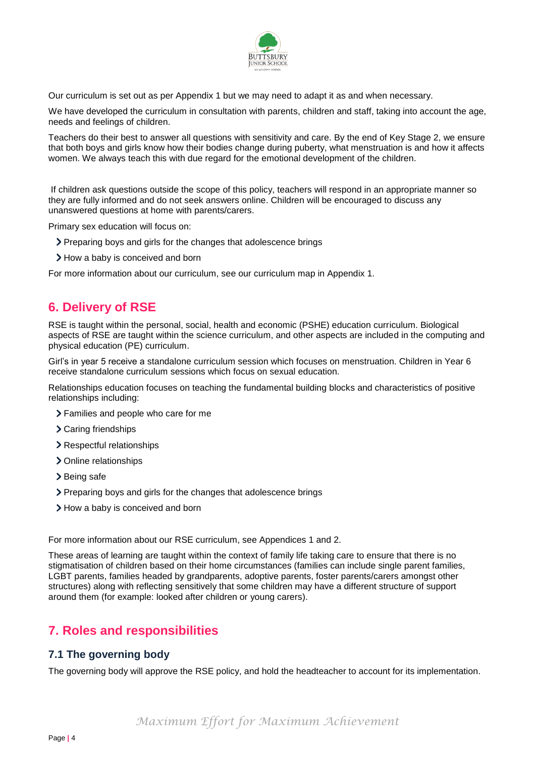

Our curriculum is set out as per Appendix 1 but we may need to adapt it as and when necessary.

We have developed the curriculum in consultation with parents, children and staff, taking into account the age, needs and feelings of children.

Teachers do their best to answer all questions with sensitivity and care. By the end of Key Stage 2, we ensure that both boys and girls know how their bodies change during puberty, what menstruation is and how it affects women. We always teach this with due regard for the emotional development of the children.

If children ask questions outside the scope of this policy, teachers will respond in an appropriate manner so they are fully informed and do not seek answers online. Children will be encouraged to discuss any unanswered questions at home with parents/carers.

Primary sex education will focus on:

- Preparing boys and girls for the changes that adolescence brings
- > How a baby is conceived and born

For more information about our curriculum, see our curriculum map in Appendix 1.

## <span id="page-3-0"></span>**6. Delivery of RSE**

RSE is taught within the personal, social, health and economic (PSHE) education curriculum. Biological aspects of RSE are taught within the science curriculum, and other aspects are included in the computing and physical education (PE) curriculum.

Girl's in year 5 receive a standalone curriculum session which focuses on menstruation. Children in Year 6 receive standalone curriculum sessions which focus on sexual education.

Relationships education focuses on teaching the fundamental building blocks and characteristics of positive relationships including:

- Families and people who care for me
- > Caring friendships
- > Respectful relationships
- > Online relationships
- > Being safe
- Preparing boys and girls for the changes that adolescence brings
- > How a baby is conceived and born

For more information about our RSE curriculum, see Appendices 1 and 2.

These areas of learning are taught within the context of family life taking care to ensure that there is no stigmatisation of children based on their home circumstances (families can include single parent families, LGBT parents, families headed by grandparents, adoptive parents, foster parents/carers amongst other structures) along with reflecting sensitively that some children may have a different structure of support around them (for example: looked after children or young carers).

#### <span id="page-3-1"></span>**7. Roles and responsibilities**

#### **7.1 The governing body**

The governing body will approve the RSE policy, and hold the headteacher to account for its implementation.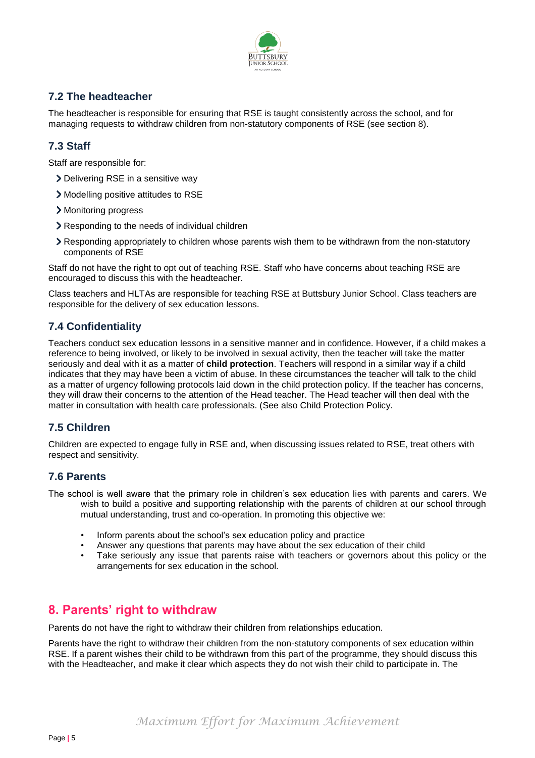

#### **7.2 The headteacher**

The headteacher is responsible for ensuring that RSE is taught consistently across the school, and for managing requests to withdraw children from non-statutory components of RSE (see section 8).

#### **7.3 Staff**

Staff are responsible for:

- Delivering RSE in a sensitive way
- Modelling positive attitudes to RSE
- Monitoring progress
- Responding to the needs of individual children
- Responding appropriately to children whose parents wish them to be withdrawn from the non-statutory components of RSE

Staff do not have the right to opt out of teaching RSE. Staff who have concerns about teaching RSE are encouraged to discuss this with the headteacher.

Class teachers and HLTAs are responsible for teaching RSE at Buttsbury Junior School. Class teachers are responsible for the delivery of sex education lessons.

#### **7.4 Confidentiality**

Teachers conduct sex education lessons in a sensitive manner and in confidence. However, if a child makes a reference to being involved, or likely to be involved in sexual activity, then the teacher will take the matter seriously and deal with it as a matter of **child protection**. Teachers will respond in a similar way if a child indicates that they may have been a victim of abuse. In these circumstances the teacher will talk to the child as a matter of urgency following protocols laid down in the child protection policy. If the teacher has concerns, they will draw their concerns to the attention of the Head teacher. The Head teacher will then deal with the matter in consultation with health care professionals. (See also Child Protection Policy.

#### **7.5 Children**

Children are expected to engage fully in RSE and, when discussing issues related to RSE, treat others with respect and sensitivity.

#### **7.6 Parents**

The school is well aware that the primary role in children's sex education lies with parents and carers. We wish to build a positive and supporting relationship with the parents of children at our school through mutual understanding, trust and co-operation. In promoting this objective we:

- Inform parents about the school's sex education policy and practice
- Answer any questions that parents may have about the sex education of their child
- Take seriously any issue that parents raise with teachers or governors about this policy or the arrangements for sex education in the school.

#### <span id="page-4-0"></span>**8. Parents' right to withdraw**

Parents do not have the right to withdraw their children from relationships education.

Parents have the right to withdraw their children from the non-statutory components of sex education within RSE. If a parent wishes their child to be withdrawn from this part of the programme, they should discuss this with the Headteacher, and make it clear which aspects they do not wish their child to participate in. The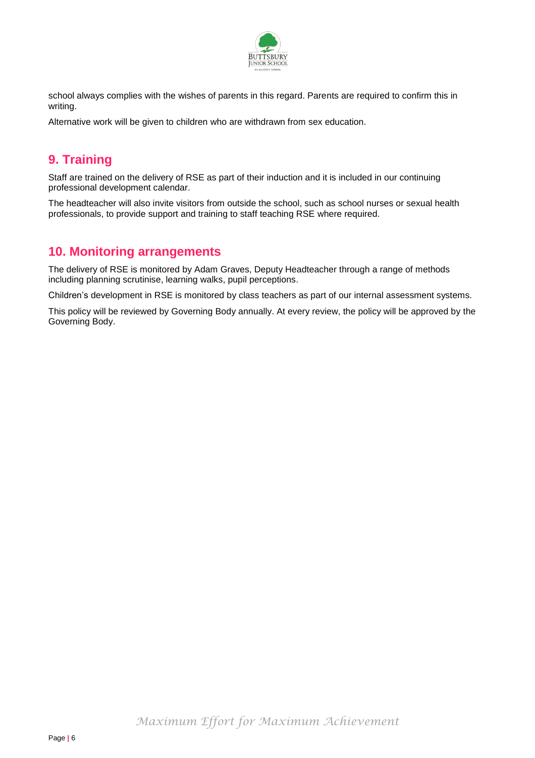

school always complies with the wishes of parents in this regard. Parents are required to confirm this in writing.

Alternative work will be given to children who are withdrawn from sex education.

## <span id="page-5-0"></span>**9. Training**

Staff are trained on the delivery of RSE as part of their induction and it is included in our continuing professional development calendar.

The headteacher will also invite visitors from outside the school, such as school nurses or sexual health professionals, to provide support and training to staff teaching RSE where required.

## <span id="page-5-1"></span>**10. Monitoring arrangements**

The delivery of RSE is monitored by Adam Graves, Deputy Headteacher through a range of methods including planning scrutinise, learning walks, pupil perceptions.

Children's development in RSE is monitored by class teachers as part of our internal assessment systems.

This policy will be reviewed by Governing Body annually. At every review, the policy will be approved by the Governing Body.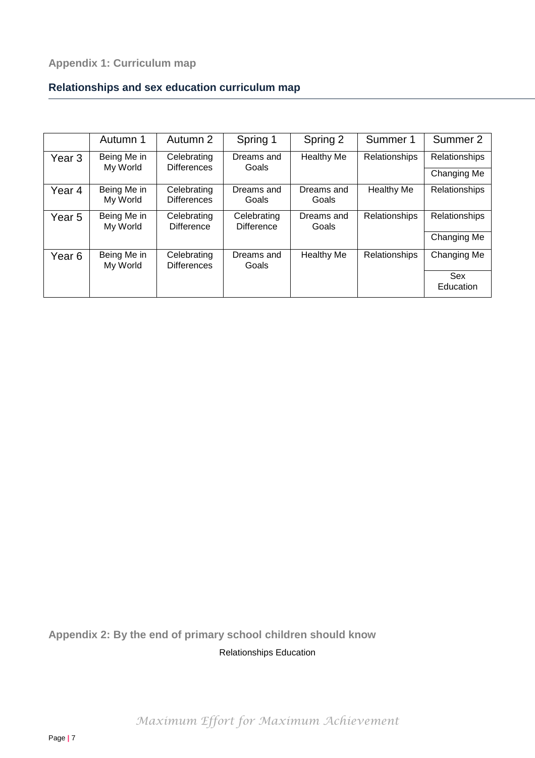## <span id="page-6-0"></span>**Relationships and sex education curriculum map**

|                   | Autumn 1                | Autumn 2                          | Spring 1                         | Spring 2            | Summer 1             | Summer 2                |
|-------------------|-------------------------|-----------------------------------|----------------------------------|---------------------|----------------------|-------------------------|
| Year <sub>3</sub> | Being Me in<br>My World | Celebrating<br><b>Differences</b> | Dreams and<br>Goals              | <b>Healthy Me</b>   | Relationships        | Relationships           |
|                   |                         |                                   |                                  |                     |                      | Changing Me             |
| Year 4            | Being Me in<br>My World | Celebrating<br><b>Differences</b> | Dreams and<br>Goals              | Dreams and<br>Goals | <b>Healthy Me</b>    | Relationships           |
| Year 5            | Being Me in<br>My World | Celebrating<br><b>Difference</b>  | Celebrating<br><b>Difference</b> | Dreams and<br>Goals | Relationships        | Relationships           |
|                   |                         |                                   |                                  |                     |                      | Changing Me             |
| Year 6            | Being Me in<br>My World | Celebrating<br><b>Differences</b> | Dreams and<br>Goals              | <b>Healthy Me</b>   | <b>Relationships</b> | Changing Me             |
|                   |                         |                                   |                                  |                     |                      | <b>Sex</b><br>Education |

<span id="page-6-1"></span>**Appendix 2: By the end of primary school children should know** Relationships Education

*Maximum Effort for Maximum Achievement*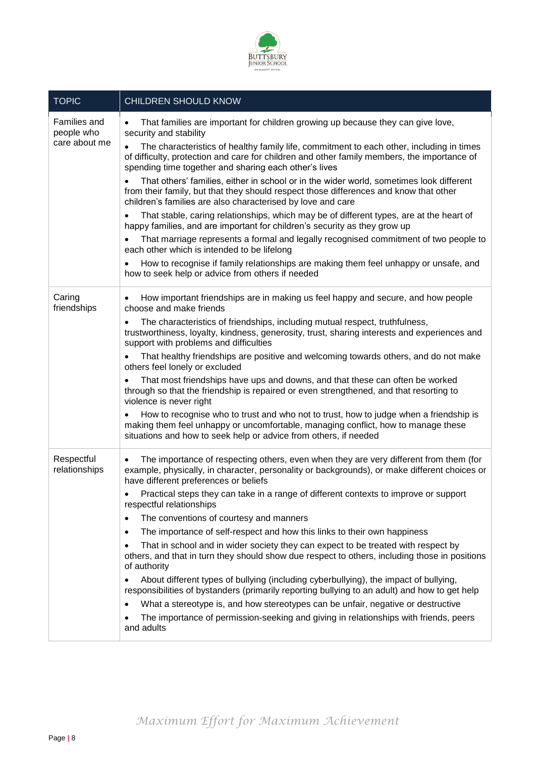

| <b>TOPIC</b>                                | CHILDREN SHOULD KNOW                                                                                                                                                                                                                                          |
|---------------------------------------------|---------------------------------------------------------------------------------------------------------------------------------------------------------------------------------------------------------------------------------------------------------------|
| Families and<br>people who<br>care about me | That families are important for children growing up because they can give love,<br>security and stability                                                                                                                                                     |
|                                             | The characteristics of healthy family life, commitment to each other, including in times<br>$\bullet$<br>of difficulty, protection and care for children and other family members, the importance of<br>spending time together and sharing each other's lives |
|                                             | That others' families, either in school or in the wider world, sometimes look different<br>from their family, but that they should respect those differences and know that other<br>children's families are also characterised by love and care               |
|                                             | That stable, caring relationships, which may be of different types, are at the heart of<br>٠<br>happy families, and are important for children's security as they grow up                                                                                     |
|                                             | That marriage represents a formal and legally recognised commitment of two people to<br>each other which is intended to be lifelong                                                                                                                           |
|                                             | How to recognise if family relationships are making them feel unhappy or unsafe, and<br>how to seek help or advice from others if needed                                                                                                                      |
| Caring<br>friendships                       | How important friendships are in making us feel happy and secure, and how people<br>$\bullet$<br>choose and make friends                                                                                                                                      |
|                                             | The characteristics of friendships, including mutual respect, truthfulness,<br>trustworthiness, loyalty, kindness, generosity, trust, sharing interests and experiences and<br>support with problems and difficulties                                         |
|                                             | That healthy friendships are positive and welcoming towards others, and do not make<br>others feel lonely or excluded                                                                                                                                         |
|                                             | That most friendships have ups and downs, and that these can often be worked<br>through so that the friendship is repaired or even strengthened, and that resorting to<br>violence is never right                                                             |
|                                             | How to recognise who to trust and who not to trust, how to judge when a friendship is<br>making them feel unhappy or uncomfortable, managing conflict, how to manage these<br>situations and how to seek help or advice from others, if needed                |
| Respectful<br>relationships                 | The importance of respecting others, even when they are very different from them (for<br>$\bullet$<br>example, physically, in character, personality or backgrounds), or make different choices or<br>have different preferences or beliefs                   |
|                                             | Practical steps they can take in a range of different contexts to improve or support<br>respectful relationships                                                                                                                                              |
|                                             | The conventions of courtesy and manners<br>٠                                                                                                                                                                                                                  |
|                                             | The importance of self-respect and how this links to their own happiness<br>٠                                                                                                                                                                                 |
|                                             | That in school and in wider society they can expect to be treated with respect by<br>$\bullet$<br>others, and that in turn they should show due respect to others, including those in positions<br>of authority                                               |
|                                             | About different types of bullying (including cyberbullying), the impact of bullying,<br>responsibilities of bystanders (primarily reporting bullying to an adult) and how to get help                                                                         |
|                                             | What a stereotype is, and how stereotypes can be unfair, negative or destructive<br>$\bullet$                                                                                                                                                                 |
|                                             | The importance of permission-seeking and giving in relationships with friends, peers<br>and adults                                                                                                                                                            |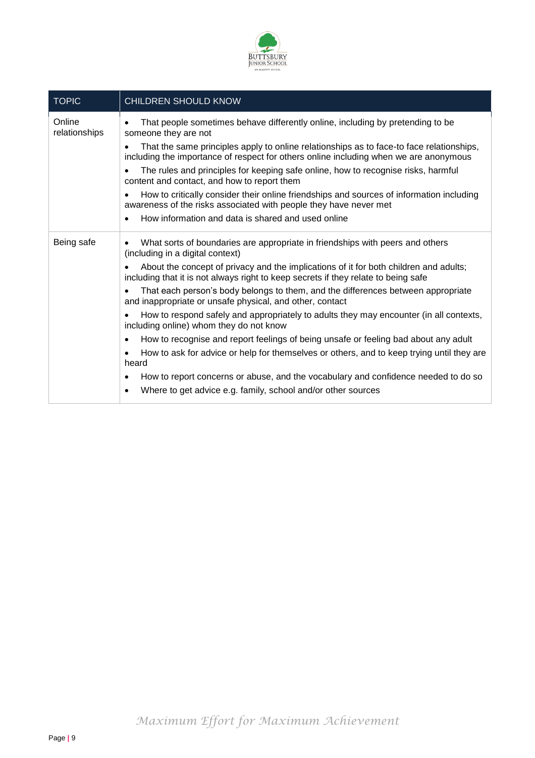

| <b>TOPIC</b>            | CHILDREN SHOULD KNOW                                                                                                                                                              |
|-------------------------|-----------------------------------------------------------------------------------------------------------------------------------------------------------------------------------|
| Online<br>relationships | That people sometimes behave differently online, including by pretending to be<br>someone they are not                                                                            |
|                         | That the same principles apply to online relationships as to face-to face relationships,<br>including the importance of respect for others online including when we are anonymous |
|                         | The rules and principles for keeping safe online, how to recognise risks, harmful<br>content and contact, and how to report them                                                  |
|                         | How to critically consider their online friendships and sources of information including<br>awareness of the risks associated with people they have never met                     |
|                         | How information and data is shared and used online<br>$\bullet$                                                                                                                   |
| Being safe              | What sorts of boundaries are appropriate in friendships with peers and others<br>$\bullet$<br>(including in a digital context)                                                    |
|                         | About the concept of privacy and the implications of it for both children and adults;<br>including that it is not always right to keep secrets if they relate to being safe       |
|                         | That each person's body belongs to them, and the differences between appropriate<br>$\bullet$<br>and inappropriate or unsafe physical, and other, contact                         |
|                         | How to respond safely and appropriately to adults they may encounter (in all contexts,<br>including online) whom they do not know                                                 |
|                         | How to recognise and report feelings of being unsafe or feeling bad about any adult<br>$\bullet$                                                                                  |
|                         | How to ask for advice or help for themselves or others, and to keep trying until they are<br>$\bullet$<br>heard                                                                   |
|                         | How to report concerns or abuse, and the vocabulary and confidence needed to do so<br>$\bullet$                                                                                   |
|                         | Where to get advice e.g. family, school and/or other sources<br>$\bullet$                                                                                                         |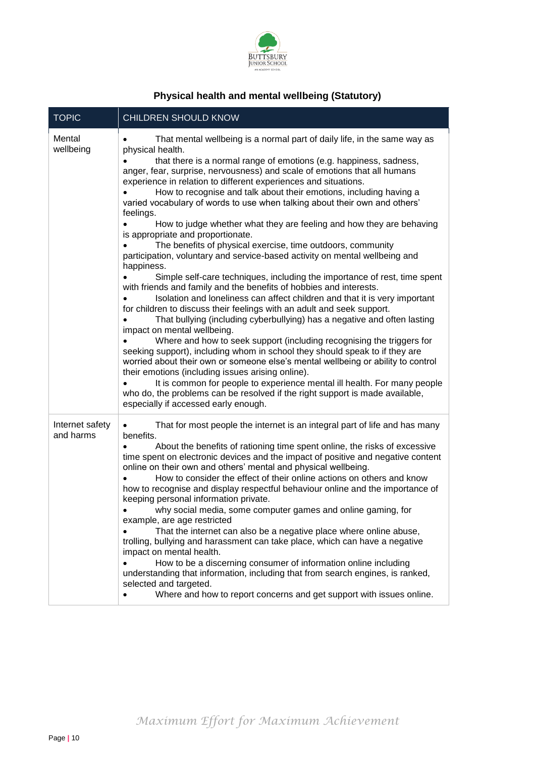

## **Physical health and mental wellbeing (Statutory)**

| <b>TOPIC</b>                 | CHILDREN SHOULD KNOW                                                                                                                                                                                                                                                                                                                                                                                                                                                                                                                                                                                                                                                                                                                                                                                                                                                                                                                                                                                                                                                                                                                                                                                                                                                                                                                                                                                                                                                                                                                                                                                                                                                                    |
|------------------------------|-----------------------------------------------------------------------------------------------------------------------------------------------------------------------------------------------------------------------------------------------------------------------------------------------------------------------------------------------------------------------------------------------------------------------------------------------------------------------------------------------------------------------------------------------------------------------------------------------------------------------------------------------------------------------------------------------------------------------------------------------------------------------------------------------------------------------------------------------------------------------------------------------------------------------------------------------------------------------------------------------------------------------------------------------------------------------------------------------------------------------------------------------------------------------------------------------------------------------------------------------------------------------------------------------------------------------------------------------------------------------------------------------------------------------------------------------------------------------------------------------------------------------------------------------------------------------------------------------------------------------------------------------------------------------------------------|
| Mental<br>wellbeing          | That mental wellbeing is a normal part of daily life, in the same way as<br>physical health.<br>that there is a normal range of emotions (e.g. happiness, sadness,<br>anger, fear, surprise, nervousness) and scale of emotions that all humans<br>experience in relation to different experiences and situations.<br>How to recognise and talk about their emotions, including having a<br>varied vocabulary of words to use when talking about their own and others'<br>feelings.<br>How to judge whether what they are feeling and how they are behaving<br>is appropriate and proportionate.<br>The benefits of physical exercise, time outdoors, community<br>participation, voluntary and service-based activity on mental wellbeing and<br>happiness.<br>Simple self-care techniques, including the importance of rest, time spent<br>with friends and family and the benefits of hobbies and interests.<br>Isolation and loneliness can affect children and that it is very important<br>for children to discuss their feelings with an adult and seek support.<br>That bullying (including cyberbullying) has a negative and often lasting<br>impact on mental wellbeing.<br>Where and how to seek support (including recognising the triggers for<br>seeking support), including whom in school they should speak to if they are<br>worried about their own or someone else's mental wellbeing or ability to control<br>their emotions (including issues arising online).<br>It is common for people to experience mental ill health. For many people<br>who do, the problems can be resolved if the right support is made available,<br>especially if accessed early enough. |
| Internet safety<br>and harms | That for most people the internet is an integral part of life and has many<br>benefits.<br>About the benefits of rationing time spent online, the risks of excessive<br>time spent on electronic devices and the impact of positive and negative content<br>online on their own and others' mental and physical wellbeing.<br>How to consider the effect of their online actions on others and know<br>how to recognise and display respectful behaviour online and the importance of<br>keeping personal information private.<br>why social media, some computer games and online gaming, for<br>example, are age restricted<br>That the internet can also be a negative place where online abuse,<br>trolling, bullying and harassment can take place, which can have a negative<br>impact on mental health.<br>How to be a discerning consumer of information online including<br>$\bullet$<br>understanding that information, including that from search engines, is ranked,<br>selected and targeted.<br>Where and how to report concerns and get support with issues online.<br>$\bullet$                                                                                                                                                                                                                                                                                                                                                                                                                                                                                                                                                                                         |